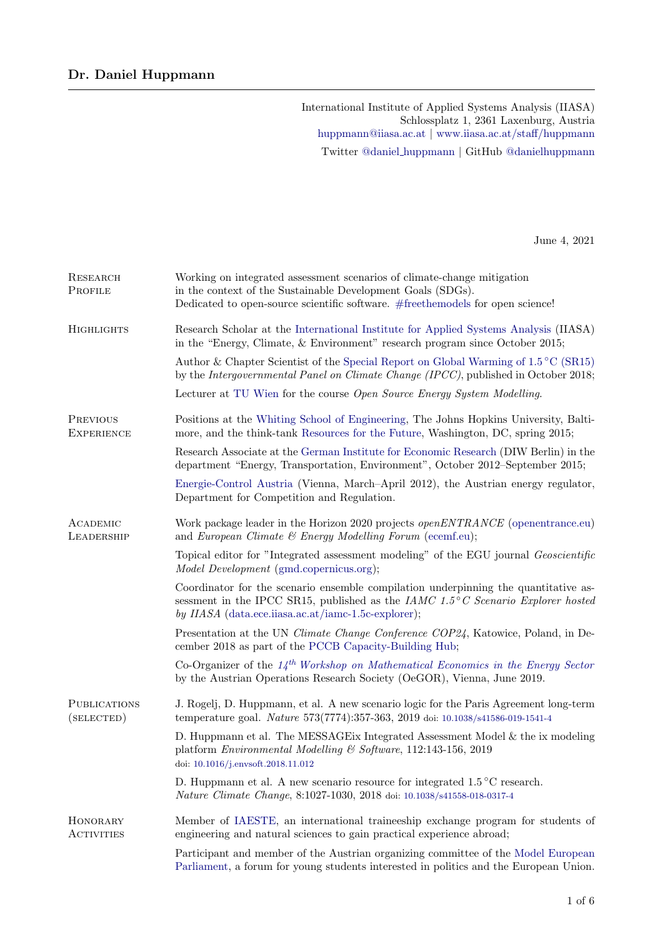International Institute of Applied Systems Analysis (IIASA) Schlossplatz 1, 2361 Laxenburg, Austria [huppmann@iiasa.ac.at](mailto:huppmann@iiasa.ac.at) | [www.iiasa.ac.at/staff/huppmann](http://www.iiasa.ac.at/staff/huppmann) Twitter @daniel [huppmann](https://twitter.com/daniel_huppmann) | GitHub [@danielhuppmann](https://github.com/danielhuppmann)

June 4, 2021

| RESEARCH<br>PROFILE                  | Working on integrated assessment scenarios of climate-change mitigation<br>in the context of the Sustainable Development Goals (SDGs).<br>Dedicated to open-source scientific software. #free<br>themodels for open science! $\,$    |
|--------------------------------------|--------------------------------------------------------------------------------------------------------------------------------------------------------------------------------------------------------------------------------------|
| <b>HIGHLIGHTS</b>                    | Research Scholar at the International Institute for Applied Systems Analysis (IIASA)<br>in the "Energy, Climate, & Environment" research program since October 2015;                                                                 |
|                                      | Author & Chapter Scientist of the Special Report on Global Warming of $1.5\text{ °C (SR15)}$<br>by the Intergovernmental Panel on Climate Change (IPCC), published in October 2018;                                                  |
|                                      | Lecturer at TU Wien for the course Open Source Energy System Modelling.                                                                                                                                                              |
| <b>PREVIOUS</b><br><b>EXPERIENCE</b> | Positions at the Whiting School of Engineering, The Johns Hopkins University, Balti-<br>more, and the think-tank Resources for the Future, Washington, DC, spring 2015;                                                              |
|                                      | Research Associate at the German Institute for Economic Research (DIW Berlin) in the<br>department "Energy, Transportation, Environment", October 2012–September 2015;                                                               |
|                                      | Energie-Control Austria (Vienna, March-April 2012), the Austrian energy regulator,<br>Department for Competition and Regulation.                                                                                                     |
| ACADEMIC<br>LEADERSHIP               | Work package leader in the Horizon 2020 projects <i>openENTRANCE</i> (openentrance.eu)<br>and European Climate $\mathcal B$ Energy Modelling Forum (ecemf.eu);                                                                       |
|                                      | Topical editor for "Integrated assessment modeling" of the EGU journal Geoscientific<br><i>Model Development</i> (gmd.copernicus.org);                                                                                               |
|                                      | Coordinator for the scenario ensemble compilation underpinning the quantitative as-<br>sessment in the IPCC SR15, published as the <i>IAMC</i> 1.5°C Scenario Explorer hosted<br>by IIASA (data.ece.iiasa.ac.at/iamc-1.5c-explorer); |
|                                      | Presentation at the UN Climate Change Conference COP24, Katowice, Poland, in De-<br>cember 2018 as part of the PCCB Capacity-Building Hub;                                                                                           |
|                                      | Co-Organizer of the $14^{th}$ Workshop on Mathematical Economics in the Energy Sector<br>by the Austrian Operations Research Society (OeGOR), Vienna, June 2019.                                                                     |
| <b>PUBLICATIONS</b><br>(SELECTED)    | J. Rogelj, D. Huppmann, et al. A new scenario logic for the Paris Agreement long-term<br>temperature goal. Nature 573(7774):357-363, 2019 doi: 10.1038/s41586-019-1541-4                                                             |
|                                      | D. Huppmann et al. The MESSAGE is Integrated Assessment Model $\&$ the ix modeling<br>platform Environmental Modelling $\mathcal C$ Software, 112:143-156, 2019<br>doi: 10.1016/j.envsoft.2018.11.012                                |
|                                      | D. Huppmann et al. A new scenario resource for integrated $1.5\,^{\circ}\mathrm{C}$ research.<br>Nature Climate Change, 8:1027-1030, 2018 doi: 10.1038/s41558-018-0317-4                                                             |
| HONORARY<br><b>ACTIVITIES</b>        | Member of IAESTE, an international traineeship exchange program for students of<br>engineering and natural sciences to gain practical experience abroad;                                                                             |
|                                      | Participant and member of the Austrian organizing committee of the Model European<br>Parliament, a forum for young students interested in politics and the European Union.                                                           |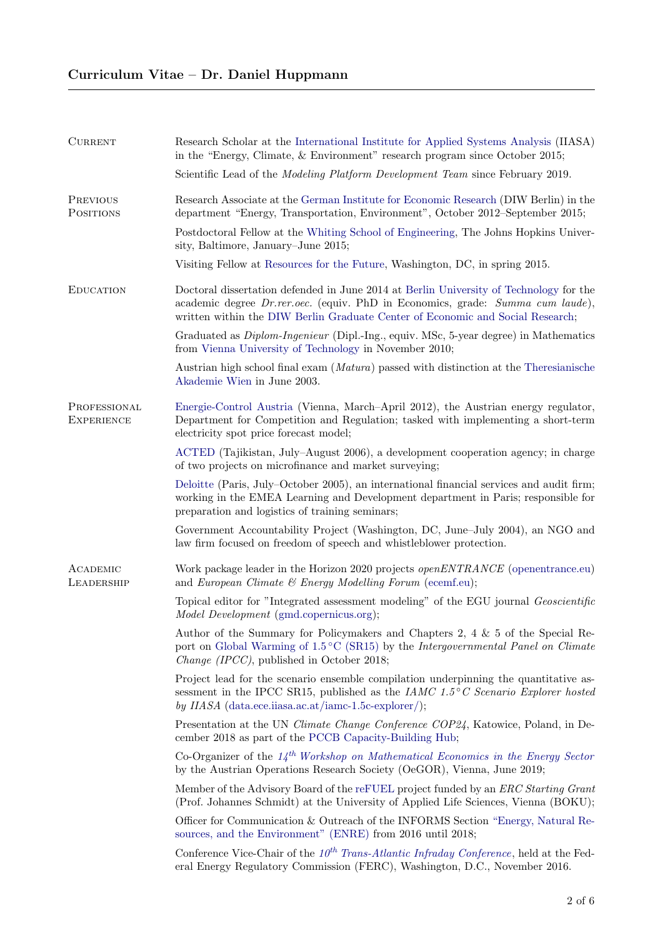| <b>CURRENT</b>                    | Research Scholar at the International Institute for Applied Systems Analysis (IIASA)<br>in the "Energy, Climate, $\&$ Environment" research program since October 2015;                                                                                    |
|-----------------------------------|------------------------------------------------------------------------------------------------------------------------------------------------------------------------------------------------------------------------------------------------------------|
|                                   | Scientific Lead of the <i>Modeling Platform Development Team</i> since February 2019.                                                                                                                                                                      |
| PREVIOUS<br>POSITIONS             | Research Associate at the German Institute for Economic Research (DIW Berlin) in the<br>department "Energy, Transportation, Environment", October 2012–September 2015;                                                                                     |
|                                   | Postdoctoral Fellow at the Whiting School of Engineering, The Johns Hopkins Univer-<br>sity, Baltimore, January–June 2015;                                                                                                                                 |
|                                   | Visiting Fellow at Resources for the Future, Washington, DC, in spring 2015.                                                                                                                                                                               |
| <b>EDUCATION</b>                  | Doctoral dissertation defended in June 2014 at Berlin University of Technology for the<br>academic degree Dr.rer.oec. (equiv. PhD in Economics, grade: Summa cum laude),<br>written within the DIW Berlin Graduate Center of Economic and Social Research; |
|                                   | Graduated as <i>Diplom-Ingenieur</i> (Dipl.-Ing., equiv. MSc, 5-year degree) in Mathematics<br>from Vienna University of Technology in November 2010;                                                                                                      |
|                                   | Austrian high school final exam ( <i>Matura</i> ) passed with distinction at the Theresianische<br>Akademie Wien in June 2003.                                                                                                                             |
| PROFESSIONAL<br><b>EXPERIENCE</b> | Energie-Control Austria (Vienna, March-April 2012), the Austrian energy regulator,<br>Department for Competition and Regulation; tasked with implementing a short-term<br>electricity spot price forecast model;                                           |
|                                   | ACTED (Tajikistan, July–August 2006), a development cooperation agency; in charge<br>of two projects on microfinance and market surveying;                                                                                                                 |
|                                   | Deloitte (Paris, July–October 2005), an international financial services and audit firm;<br>working in the EMEA Learning and Development department in Paris; responsible for<br>preparation and logistics of training seminars;                           |
|                                   | Government Accountability Project (Washington, DC, June-July 2004), an NGO and<br>law firm focused on freedom of speech and whistleblower protection.                                                                                                      |
| ACADEMIC<br>LEADERSHIP            | Work package leader in the Horizon 2020 projects <i>openENTRANCE</i> (openentrance.eu)<br>and European Climate $\mathcal C$ Energy Modelling Forum (ecemf.eu);                                                                                             |
|                                   | Topical editor for "Integrated assessment modeling" of the EGU journal <i>Geoscientific</i><br><i>Model Development</i> (gmd.copernicus.org);                                                                                                              |
|                                   | Author of the Summary for Policymakers and Chapters 2, 4 $\&$ 5 of the Special Re-<br>port on Global Warming of 1.5 °C (SR15) by the Intergovernmental Panel on Climate<br>Change (IPCC), published in October 2018;                                       |
|                                   | Project lead for the scenario ensemble compilation underpinning the quantitative as-<br>sessment in the IPCC SR15, published as the <i>IAMC</i> 1.5°C Scenario Explorer hosted<br>by IIASA (data.ece.iiasa.ac.at/iamc-1.5c-explorer/);                     |
|                                   | Presentation at the UN Climate Change Conference COP24, Katowice, Poland, in De-<br>cember 2018 as part of the PCCB Capacity-Building Hub;                                                                                                                 |
|                                   | Co-Organizer of the $14^{th}$ Workshop on Mathematical Economics in the Energy Sector<br>by the Austrian Operations Research Society (OeGOR), Vienna, June 2019;                                                                                           |
|                                   | Member of the Advisory Board of the reFUEL project funded by an <i>ERC Starting Grant</i><br>(Prof. Johannes Schmidt) at the University of Applied Life Sciences, Vienna (BOKU);                                                                           |
|                                   | Officer for Communication & Outreach of the INFORMS Section "Energy, Natural Re-<br>sources, and the Environment" (ENRE) from 2016 until 2018;                                                                                                             |
|                                   | Conference Vice-Chair of the $10^{th}$ Trans-Atlantic Infraday Conference, held at the Fed-<br>eral Energy Regulatory Commission (FERC), Washington, D.C., November 2016.                                                                                  |
|                                   |                                                                                                                                                                                                                                                            |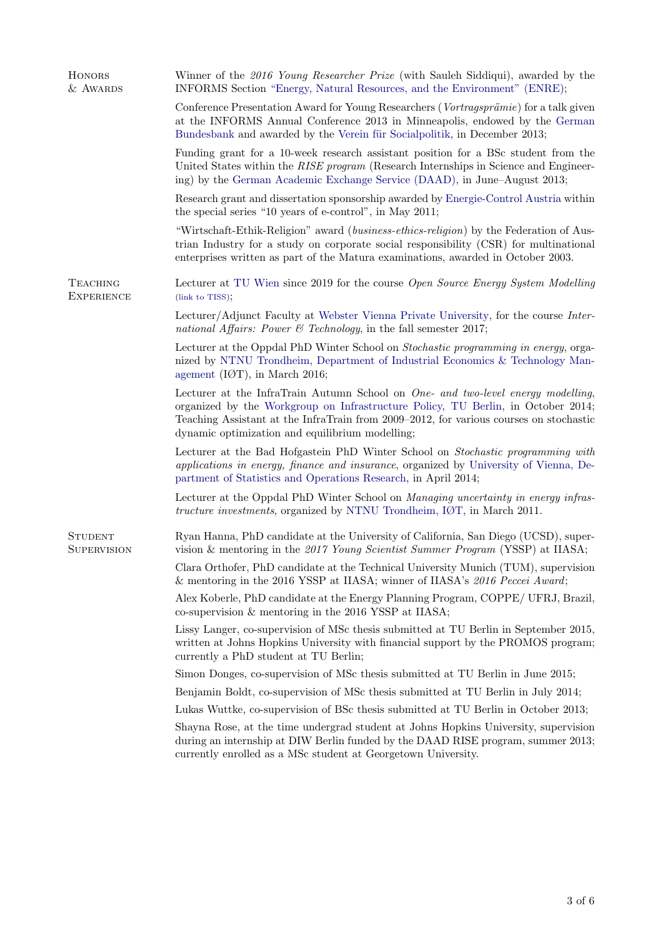| <b>HONORS</b><br>& AWARDS            | Winner of the 2016 Young Researcher Prize (with Sauleh Siddiqui), awarded by the<br>INFORMS Section "Energy, Natural Resources, and the Environment" (ENRE);                                                                                                                                                      |
|--------------------------------------|-------------------------------------------------------------------------------------------------------------------------------------------------------------------------------------------------------------------------------------------------------------------------------------------------------------------|
|                                      | Conference Presentation Award for Young Researchers (Vortragsprämie) for a talk given<br>at the INFORMS Annual Conference 2013 in Minneapolis, endowed by the German<br>Bundesbank and awarded by the Verein für Socialpolitik, in December 2013;                                                                 |
|                                      | Funding grant for a 10-week research assistant position for a BSc student from the<br>United States within the RISE program (Research Internships in Science and Engineer-<br>ing) by the German Academic Exchange Service (DAAD), in June–August 2013;                                                           |
|                                      | Research grant and dissertation sponsorship awarded by Energie-Control Austria within<br>the special series "10 years of e-control", in May 2011;                                                                                                                                                                 |
|                                      | "Wirtschaft-Ethik-Religion" award (business-ethics-religion) by the Federation of Aus-<br>trian Industry for a study on corporate social responsibility (CSR) for multinational<br>enterprises written as part of the Matura examinations, awarded in October 2003.                                               |
| <b>TEACHING</b><br><b>EXPERIENCE</b> | Lecturer at TU Wien since 2019 for the course Open Source Energy System Modelling<br>(link to TISS);                                                                                                                                                                                                              |
|                                      | Lecturer/Adjunct Faculty at Webster Vienna Private University, for the course Inter-<br>national Affairs: Power & Technology, in the fall semester 2017;                                                                                                                                                          |
|                                      | Lecturer at the Oppdal PhD Winter School on Stochastic programming in energy, orga-<br>nized by NTNU Trondheim, Department of Industrial Economics & Technology Man-<br>agement (IØT), in March 2016;                                                                                                             |
|                                      | Lecturer at the InfraTrain Autumn School on One- and two-level energy modelling,<br>organized by the Workgroup on Infrastructure Policy, TU Berlin, in October 2014;<br>Teaching Assistant at the InfraTrain from 2009–2012, for various courses on stochastic<br>dynamic optimization and equilibrium modelling; |
|                                      | Lecturer at the Bad Hofgastein PhD Winter School on Stochastic programming with<br>applications in energy, finance and insurance, organized by University of Vienna, De-<br>partment of Statistics and Operations Research, in April 2014;                                                                        |
|                                      | Lecturer at the Oppdal PhD Winter School on Managing uncertainty in energy infras-<br><i>tructure investments</i> , organized by NTNU Trondheim, IØT, in March 2011.                                                                                                                                              |
| <b>STUDENT</b><br><b>SUPERVISION</b> | Ryan Hanna, PhD candidate at the University of California, San Diego (UCSD), super-<br>vision & mentoring in the 2017 Young Scientist Summer Program (YSSP) at IIASA;                                                                                                                                             |
|                                      | Clara Orthofer, PhD candidate at the Technical University Munich (TUM), supervision<br>& mentoring in the 2016 YSSP at IIASA; winner of IIASA's 2016 Peccei Award;                                                                                                                                                |
|                                      | Alex Koberle, PhD candidate at the Energy Planning Program, COPPE/ UFRJ, Brazil,<br>co-supervision $\&$ mentoring in the 2016 YSSP at IIASA;                                                                                                                                                                      |
|                                      | Lissy Langer, co-supervision of MSc thesis submitted at TU Berlin in September 2015,<br>written at Johns Hopkins University with financial support by the PROMOS program;<br>currently a PhD student at TU Berlin;                                                                                                |
|                                      | Simon Donges, co-supervision of MSc thesis submitted at TU Berlin in June 2015;                                                                                                                                                                                                                                   |
|                                      | Benjamin Boldt, co-supervision of MSc thesis submitted at TU Berlin in July 2014;                                                                                                                                                                                                                                 |
|                                      | Lukas Wuttke, co-supervision of BSc thesis submitted at TU Berlin in October 2013;                                                                                                                                                                                                                                |
|                                      | Shayna Rose, at the time undergrad student at Johns Hopkins University, supervision<br>during an internship at DIW Berlin funded by the DAAD RISE program, summer 2013;<br>currently enrolled as a MSc student at Georgetown University.                                                                          |
|                                      |                                                                                                                                                                                                                                                                                                                   |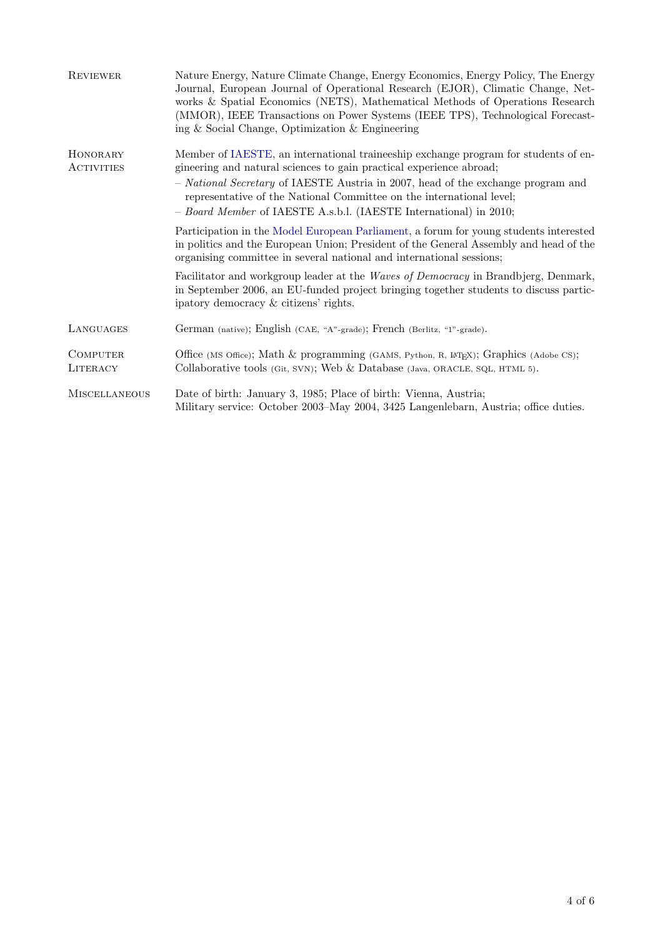| <b>REVIEWER</b>               | Nature Energy, Nature Climate Change, Energy Economics, Energy Policy, The Energy<br>Journal, European Journal of Operational Research (EJOR), Climatic Change, Net-<br>works & Spatial Economics (NETS), Mathematical Methods of Operations Research<br>(MMOR), IEEE Transactions on Power Systems (IEEE TPS), Technological Forecast-<br>ing & Social Change, Optimization & Engineering  |
|-------------------------------|---------------------------------------------------------------------------------------------------------------------------------------------------------------------------------------------------------------------------------------------------------------------------------------------------------------------------------------------------------------------------------------------|
| HONORARY<br><b>ACTIVITIES</b> | Member of IAESTE, an international traineeship exchange program for students of en-<br>gineering and natural sciences to gain practical experience abroad;<br>- National Secretary of IAESTE Austria in 2007, head of the exchange program and<br>representative of the National Committee on the international level;<br>- Board Member of IAESTE A.s.b.l. (IAESTE International) in 2010; |
|                               | Participation in the Model European Parliament, a forum for young students interested<br>in politics and the European Union; President of the General Assembly and head of the<br>organising committee in several national and international sessions;                                                                                                                                      |
|                               | Facilitator and workgroup leader at the Waves of Democracy in Brandbjerg, Denmark,<br>in September 2006, an EU-funded project bringing together students to discuss partic-<br>ipatory democracy & citizens' rights.                                                                                                                                                                        |
| LANGUAGES                     | German (native); English (CAE, "A"-grade); French (Berlitz, "1"-grade).                                                                                                                                                                                                                                                                                                                     |
| <b>COMPUTER</b><br>LITERACY   | Office (MS Office); Math & programming (GAMS, Python, R, L <sup>AT</sup> EX); Graphics (Adobe CS);<br>Collaborative tools (Git, SVN); Web & Database (Java, ORACLE, SQL, HTML 5).                                                                                                                                                                                                           |
| <b>MISCELLANEOUS</b>          | Date of birth: January 3, 1985; Place of birth: Vienna, Austria;<br>Military service: October 2003–May 2004, 3425 Langenlebarn, Austria; office duties.                                                                                                                                                                                                                                     |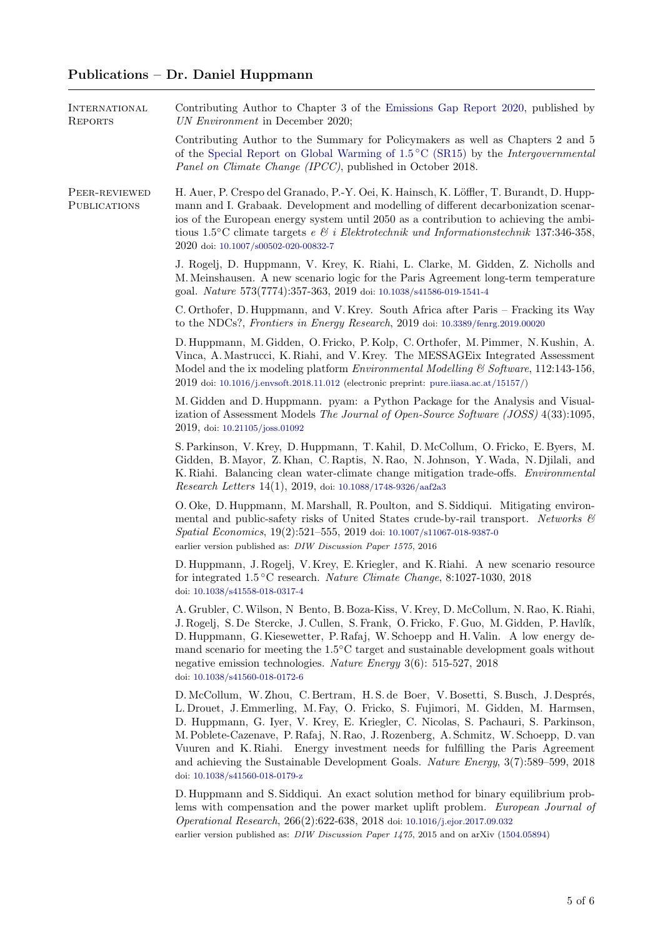## Publications – Dr. Daniel Huppmann

| <b>INTERNATIONAL</b><br><b>REPORTS</b> | Contributing Author to Chapter 3 of the Emissions Gap Report 2020, published by<br>UN Environment in December 2020;                                                                                                                                                                                                                                                                                                                                                                                                                                              |
|----------------------------------------|------------------------------------------------------------------------------------------------------------------------------------------------------------------------------------------------------------------------------------------------------------------------------------------------------------------------------------------------------------------------------------------------------------------------------------------------------------------------------------------------------------------------------------------------------------------|
|                                        | Contributing Author to the Summary for Policymakers as well as Chapters 2 and 5<br>of the Special Report on Global Warming of $1.5^{\circ}$ C (SR15) by the <i>Intergovernmental</i><br>Panel on Climate Change (IPCC), published in October 2018.                                                                                                                                                                                                                                                                                                               |
| PEER-REVIEWED<br>PUBLICATIONS          | H. Auer, P. Crespo del Granado, P.-Y. Oei, K. Hainsch, K. Löffler, T. Burandt, D. Hupp-<br>mann and I. Grabaak. Development and modelling of different decarbonization scenar-<br>ios of the European energy system until 2050 as a contribution to achieving the ambi-<br>tious $1.5^{\circ}$ C climate targets e & i Elektrotechnik und Informationstechnik 137:346-358,<br>2020 doi: 10.1007/s00502-020-00832-7                                                                                                                                               |
|                                        | J. Rogelj, D. Huppmann, V. Krey, K. Riahi, L. Clarke, M. Gidden, Z. Nicholls and<br>M. Meinshausen. A new scenario logic for the Paris Agreement long-term temperature<br>goal. Nature 573(7774):357-363, 2019 doi: 10.1038/s41586-019-1541-4                                                                                                                                                                                                                                                                                                                    |
|                                        | C. Orthofer, D. Huppmann, and V. Krey. South Africa after Paris – Fracking its Way<br>to the NDCs?, Frontiers in Energy Research, 2019 doi: 10.3389/fenrg.2019.00020                                                                                                                                                                                                                                                                                                                                                                                             |
|                                        | D. Huppmann, M. Gidden, O. Fricko, P. Kolp, C. Orthofer, M. Pimmer, N. Kushin, A.<br>Vinca, A. Mastrucci, K. Riahi, and V. Krey. The MESSAGE ix Integrated Assessment<br>Model and the ix modeling platform <i>Environmental Modelling</i> & Software, 112:143-156,<br>2019 doi: 10.1016/j.envsoft.2018.11.012 (electronic preprint: pure.iiasa.ac.at/15157/)                                                                                                                                                                                                    |
|                                        | M. Gidden and D. Huppmann. pyam: a Python Package for the Analysis and Visual-<br>ization of Assessment Models The Journal of Open-Source Software (JOSS) 4(33):1095,<br>2019, doi: 10.21105/joss.01092                                                                                                                                                                                                                                                                                                                                                          |
|                                        | S. Parkinson, V. Krey, D. Huppmann, T. Kahil, D. McCollum, O. Fricko, E. Byers, M.<br>Gidden, B. Mayor, Z. Khan, C. Raptis, N. Rao, N. Johnson, Y. Wada, N. Djilali, and<br>K. Riahi. Balancing clean water-climate change mitigation trade-offs. <i>Environmental</i><br><i>Research Letters</i> $14(1)$ , 2019, doi: 10.1088/1748-9326/aaf2a3                                                                                                                                                                                                                  |
|                                        | O. Oke, D. Huppmann, M. Marshall, R. Poulton, and S. Siddiqui. Mitigating environ-<br>mental and public-safety risks of United States crude-by-rail transport. Networks $\mathcal E$<br>Spatial Economics, 19(2):521-555, 2019 doi: 10.1007/s11067-018-9387-0<br>earlier version published as: DIW Discussion Paper 1575, 2016                                                                                                                                                                                                                                   |
|                                        | D. Huppmann, J. Rogelj, V. Krey, E. Kriegler, and K. Riahi. A new scenario resource<br>for integrated $1.5^{\circ}$ C research. <i>Nature Climate Change</i> , 8:1027-1030, 2018<br>doi: 10.1038/s41558-018-0317-4                                                                                                                                                                                                                                                                                                                                               |
|                                        | A. Grubler, C. Wilson, N. Bento, B. Boza-Kiss, V. Krey, D. McCollum, N. Rao, K. Riahi,<br>J. Rogelj, S. De Stercke, J. Cullen, S. Frank, O. Fricko, F. Guo, M. Gidden, P. Havlík,<br>D. Huppmann, G. Kiesewetter, P. Rafaj, W. Schoepp and H. Valin. A low energy de-<br>mand scenario for meeting the $1.5^{\circ}$ C target and sustainable development goals without<br>negative emission technologies. Nature Energy $3(6)$ : 515-527, 2018<br>doi: 10.1038/s41560-018-0172-6                                                                                |
|                                        | D. McCollum, W. Zhou, C. Bertram, H. S. de Boer, V. Bosetti, S. Busch, J. Després,<br>L. Drouet, J. Emmerling, M. Fay, O. Fricko, S. Fujimori, M. Gidden, M. Harmsen,<br>D. Huppmann, G. Iyer, V. Krey, E. Kriegler, C. Nicolas, S. Pachauri, S. Parkinson,<br>M. Poblete-Cazenave, P. Rafaj, N. Rao, J. Rozenberg, A. Schmitz, W. Schoepp, D. van<br>Vuuren and K. Riahi. Energy investment needs for fulfilling the Paris Agreement<br>and achieving the Sustainable Development Goals. Nature Energy, $3(7)$ :589-599, 2018<br>doi: 10.1038/s41560-018-0179-z |
|                                        | D. Huppmann and S. Siddiqui. An exact solution method for binary equilibrium prob-<br>lems with compensation and the power market uplift problem. European Journal of<br><i>Operational Research</i> , 266(2):622-638, 2018 doi: 10.1016/j.ejor.2017.09.032<br>earlier version published as: $DIW$ Discussion Paper 1475, 2015 and on arXiv (1504.05894)                                                                                                                                                                                                         |